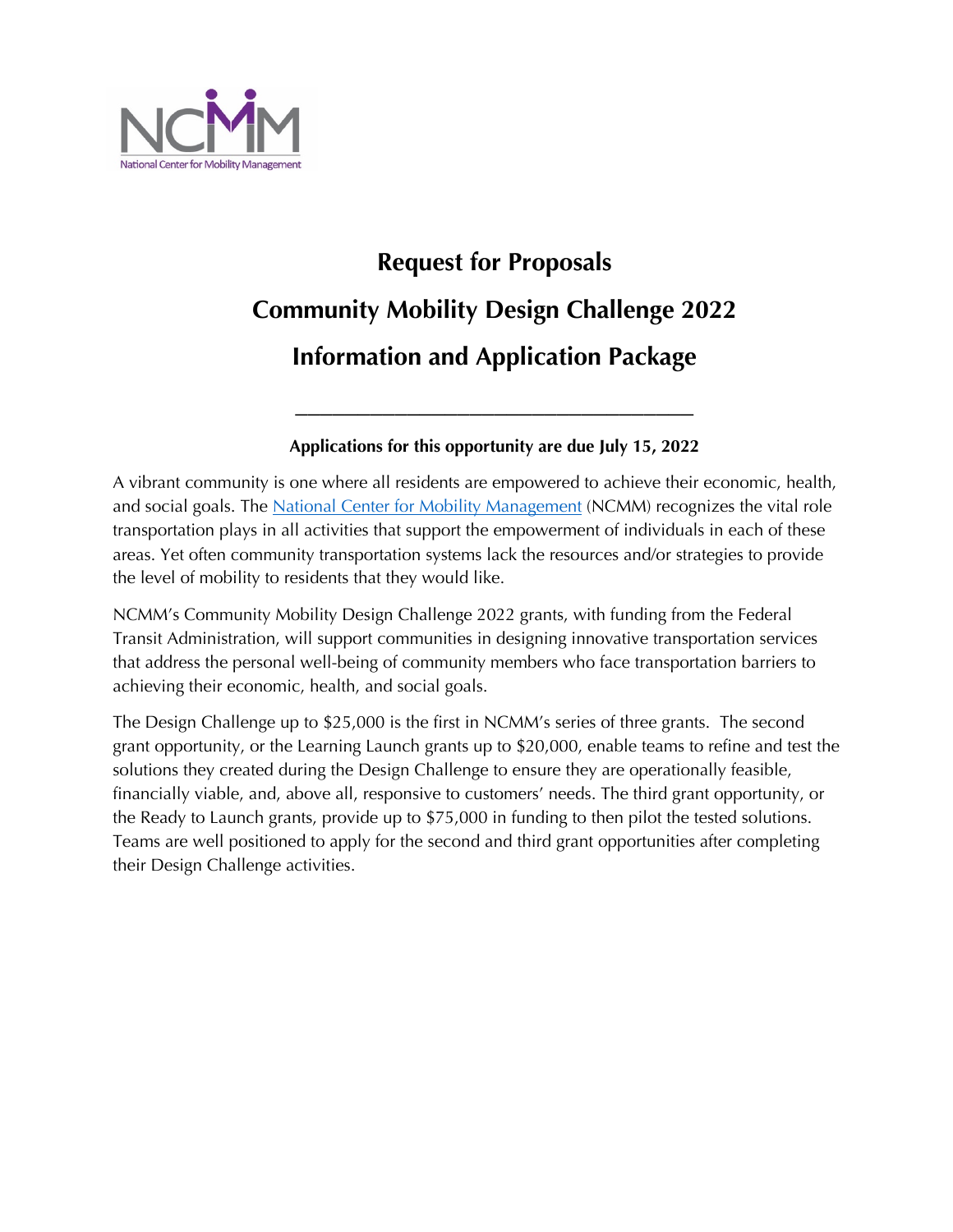

# **Request for Proposals Community Mobility Design Challenge 2022 Information and Application Package**

#### **Applications for this opportunity are due July 15, 2022**

\_\_\_\_\_\_\_\_\_\_\_\_\_\_\_\_\_\_\_\_\_\_\_\_\_\_\_\_\_\_\_\_

A vibrant community is one where all residents are empowered to achieve their economic, health, and social goals. The National Center for Mobility Management (NCMM) recognizes the vital role transportation plays in all activities that support the empowerment of individuals in each of these areas. Yet often community transportation systems lack the resources and/or strategies to provide the level of mobility to residents that they would like.

NCMM's Community Mobility Design Challenge 2022 grants, with funding from the Federal Transit Administration, will support communities in designing innovative transportation services that address the personal well-being of community members who face transportation barriers to achieving their economic, health, and social goals.

The Design Challenge up to \$25,000 is the first in NCMM's series of three grants. The second grant opportunity, or the Learning Launch grants up to \$20,000, enable teams to refine and test the solutions they created during the Design Challenge to ensure they are operationally feasible, financially viable, and, above all, responsive to customers' needs. The third grant opportunity, or the Ready to Launch grants, provide up to \$75,000 in funding to then pilot the tested solutions. Teams are well positioned to apply for the second and third grant opportunities after completing their Design Challenge activities.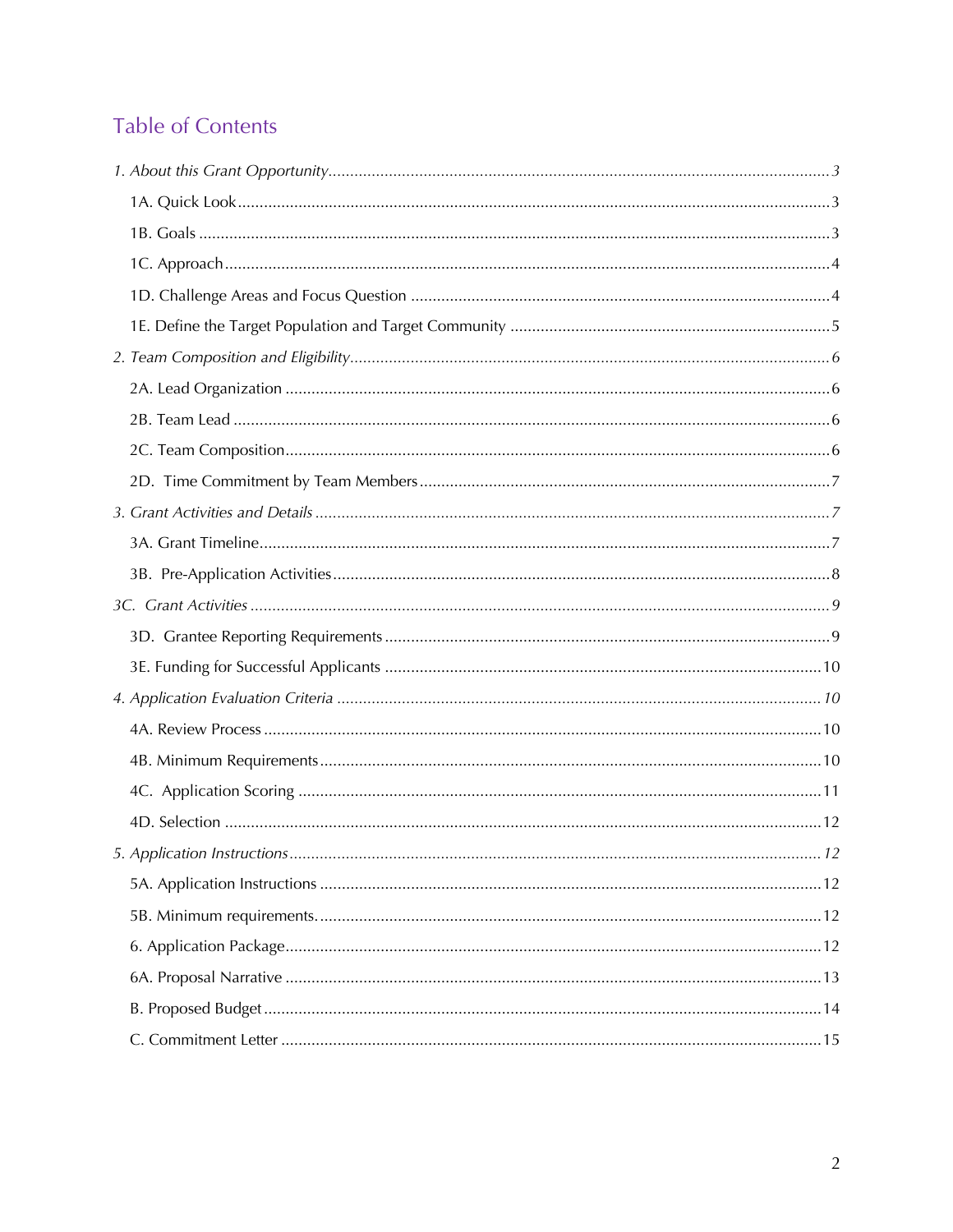# Table of Contents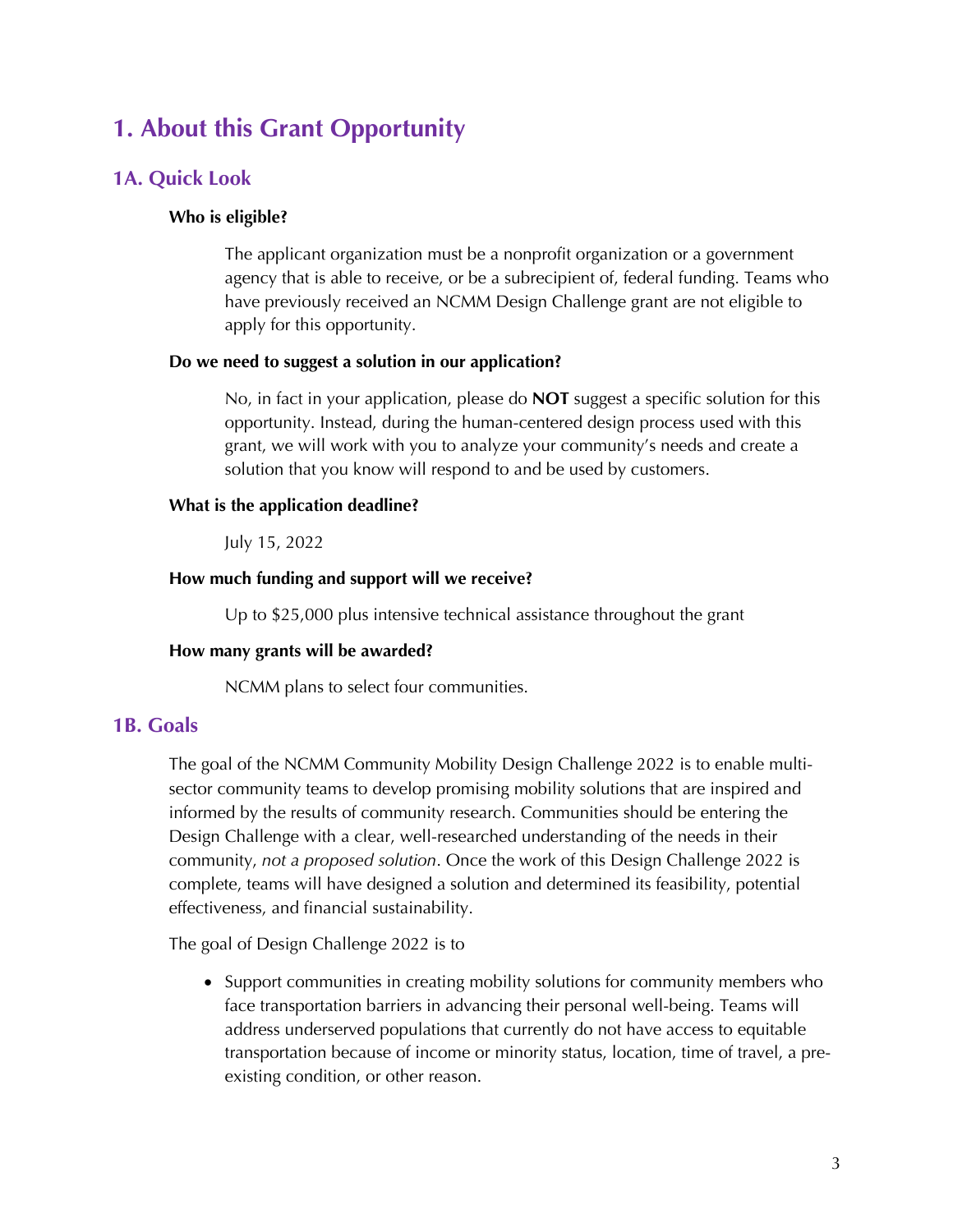# **1. About this Grant Opportunity**

#### **1A. Quick Look**

#### **Who is eligible?**

The applicant organization must be a nonprofit organization or a government agency that is able to receive, or be a subrecipient of, federal funding. Teams who have previously received an NCMM Design Challenge grant are not eligible to apply for this opportunity.

#### **Do we need to suggest a solution in our application?**

No, in fact in your application, please do **NOT** suggest a specific solution for this opportunity. Instead, during the human-centered design process used with this grant, we will work with you to analyze your community's needs and create a solution that you know will respond to and be used by customers.

#### **What is the application deadline?**

July 15, 2022

#### **How much funding and support will we receive?**

Up to \$25,000 plus intensive technical assistance throughout the grant

#### **How many grants will be awarded?**

NCMM plans to select four communities.

#### **1B. Goals**

The goal of the NCMM Community Mobility Design Challenge 2022 is to enable multisector community teams to develop promising mobility solutions that are inspired and informed by the results of community research. Communities should be entering the Design Challenge with a clear, well-researched understanding of the needs in their community, *not a proposed solution*. Once the work of this Design Challenge 2022 is complete, teams will have designed a solution and determined its feasibility, potential effectiveness, and financial sustainability.

The goal of Design Challenge 2022 is to

• Support communities in creating mobility solutions for community members who face transportation barriers in advancing their personal well-being. Teams will address underserved populations that currently do not have access to equitable transportation because of income or minority status, location, time of travel, a preexisting condition, or other reason.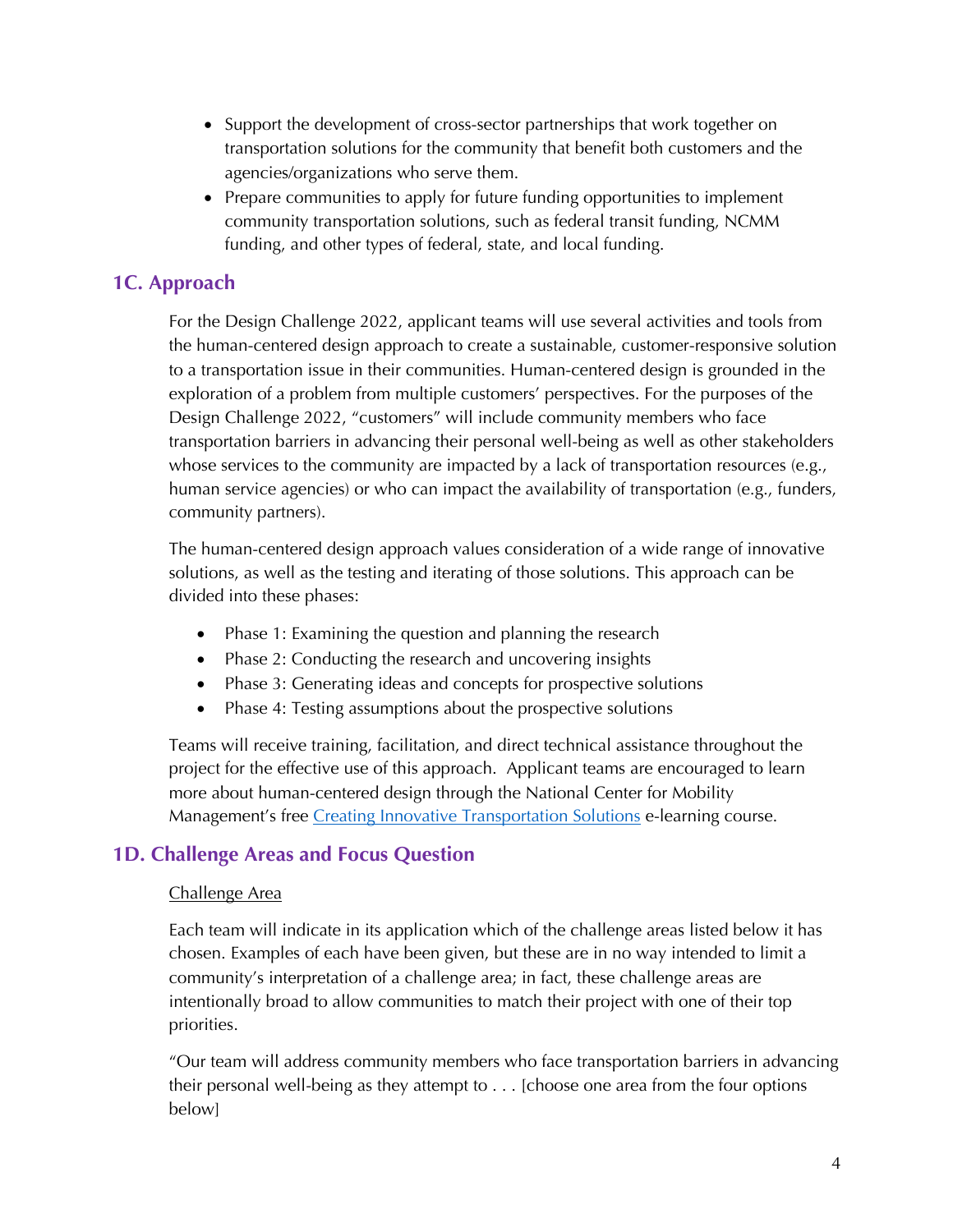- Support the development of cross-sector partnerships that work together on transportation solutions for the community that benefit both customers and the agencies/organizations who serve them.
- Prepare communities to apply for future funding opportunities to implement community transportation solutions, such as federal transit funding, NCMM funding, and other types of federal, state, and local funding.

# **1C. Approach**

For the Design Challenge 2022, applicant teams will use several activities and tools from the human-centered design approach to create a sustainable, customer-responsive solution to a transportation issue in their communities. Human-centered design is grounded in the exploration of a problem from multiple customers' perspectives. For the purposes of the Design Challenge 2022, "customers" will include community members who face transportation barriers in advancing their personal well-being as well as other stakeholders whose services to the community are impacted by a lack of transportation resources (e.g., human service agencies) or who can impact the availability of transportation (e.g., funders, community partners).

The human-centered design approach values consideration of a wide range of innovative solutions, as well as the testing and iterating of those solutions. This approach can be divided into these phases:

- Phase 1: Examining the question and planning the research
- Phase 2: Conducting the research and uncovering insights
- Phase 3: Generating ideas and concepts for prospective solutions
- Phase 4: Testing assumptions about the prospective solutions

Teams will receive training, facilitation, and direct technical assistance throughout the project for the effective use of this approach. Applicant teams are encouraged to learn more about human-centered design through the National Center for Mobility Management's free Creating Innovative Transportation Solutions e-learning course.

#### **1D. Challenge Areas and Focus Question**

#### Challenge Area

Each team will indicate in its application which of the challenge areas listed below it has chosen. Examples of each have been given, but these are in no way intended to limit a community's interpretation of a challenge area; in fact, these challenge areas are intentionally broad to allow communities to match their project with one of their top priorities.

"Our team will address community members who face transportation barriers in advancing their personal well-being as they attempt to . . . [choose one area from the four options below]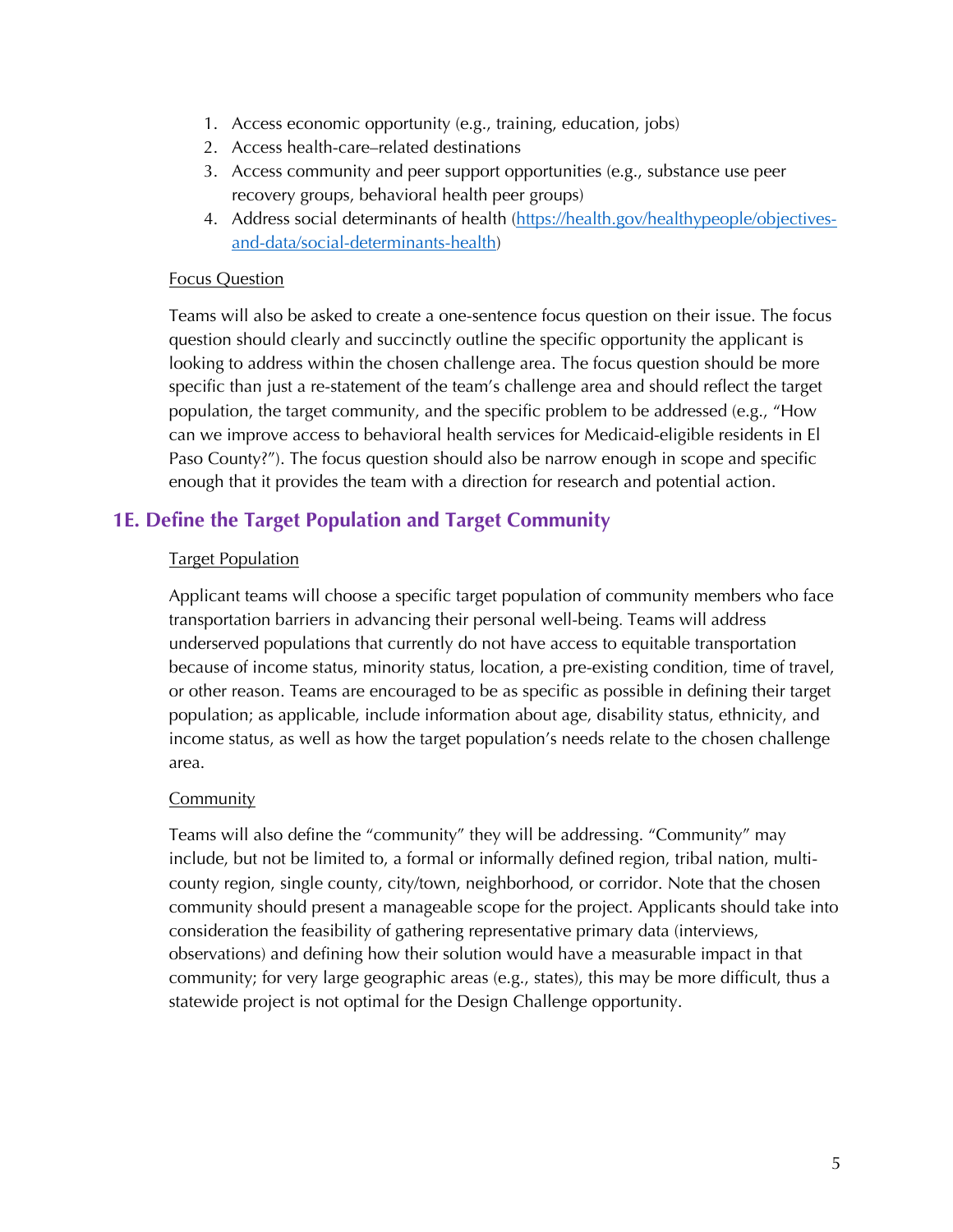- 1. Access economic opportunity (e.g., training, education, jobs)
- 2. Access health-care–related destinations
- 3. Access community and peer support opportunities (e.g., substance use peer recovery groups, behavioral health peer groups)
- 4. Address social determinants of health (https://health.gov/healthypeople/objectivesand-data/social-determinants-health)

#### Focus Question

Teams will also be asked to create a one-sentence focus question on their issue. The focus question should clearly and succinctly outline the specific opportunity the applicant is looking to address within the chosen challenge area. The focus question should be more specific than just a re-statement of the team's challenge area and should reflect the target population, the target community, and the specific problem to be addressed (e.g., "How can we improve access to behavioral health services for Medicaid-eligible residents in El Paso County?"). The focus question should also be narrow enough in scope and specific enough that it provides the team with a direction for research and potential action.

# **1E. Define the Target Population and Target Community**

#### Target Population

Applicant teams will choose a specific target population of community members who face transportation barriers in advancing their personal well-being. Teams will address underserved populations that currently do not have access to equitable transportation because of income status, minority status, location, a pre-existing condition, time of travel, or other reason. Teams are encouraged to be as specific as possible in defining their target population; as applicable, include information about age, disability status, ethnicity, and income status, as well as how the target population's needs relate to the chosen challenge area.

#### Community

Teams will also define the "community" they will be addressing. "Community" may include, but not be limited to, a formal or informally defined region, tribal nation, multicounty region, single county, city/town, neighborhood, or corridor. Note that the chosen community should present a manageable scope for the project. Applicants should take into consideration the feasibility of gathering representative primary data (interviews, observations) and defining how their solution would have a measurable impact in that community; for very large geographic areas (e.g., states), this may be more difficult, thus a statewide project is not optimal for the Design Challenge opportunity.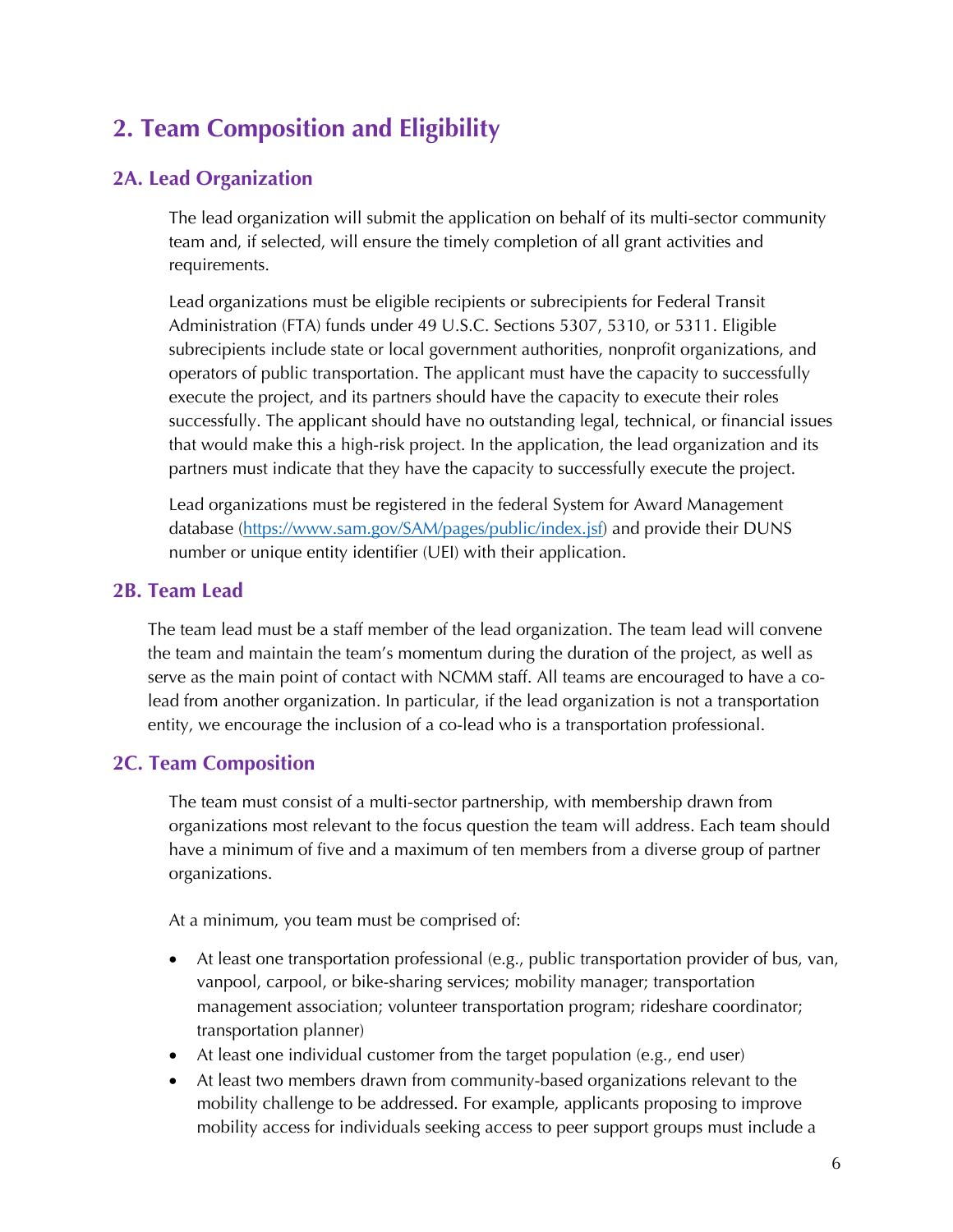# **2. Team Composition and Eligibility**

#### **2A. Lead Organization**

The lead organization will submit the application on behalf of its multi-sector community team and, if selected, will ensure the timely completion of all grant activities and requirements.

Lead organizations must be eligible recipients or subrecipients for Federal Transit Administration (FTA) funds under 49 U.S.C. Sections 5307, 5310, or 5311. Eligible subrecipients include state or local government authorities, nonprofit organizations, and operators of public transportation. The applicant must have the capacity to successfully execute the project, and its partners should have the capacity to execute their roles successfully. The applicant should have no outstanding legal, technical, or financial issues that would make this a high-risk project. In the application, the lead organization and its partners must indicate that they have the capacity to successfully execute the project.

Lead organizations must be registered in the federal System for Award Management database (https://www.sam.gov/SAM/pages/public/index.jsf) and provide their DUNS number or unique entity identifier (UEI) with their application.

#### **2B. Team Lead**

The team lead must be a staff member of the lead organization. The team lead will convene the team and maintain the team's momentum during the duration of the project, as well as serve as the main point of contact with NCMM staff. All teams are encouraged to have a colead from another organization. In particular, if the lead organization is not a transportation entity, we encourage the inclusion of a co-lead who is a transportation professional.

# **2C. Team Composition**

The team must consist of a multi-sector partnership, with membership drawn from organizations most relevant to the focus question the team will address. Each team should have a minimum of five and a maximum of ten members from a diverse group of partner organizations.

At a minimum, you team must be comprised of:

- At least one transportation professional (e.g., public transportation provider of bus, van, vanpool, carpool, or bike-sharing services; mobility manager; transportation management association; volunteer transportation program; rideshare coordinator; transportation planner)
- At least one individual customer from the target population (e.g., end user)
- At least two members drawn from community-based organizations relevant to the mobility challenge to be addressed. For example, applicants proposing to improve mobility access for individuals seeking access to peer support groups must include a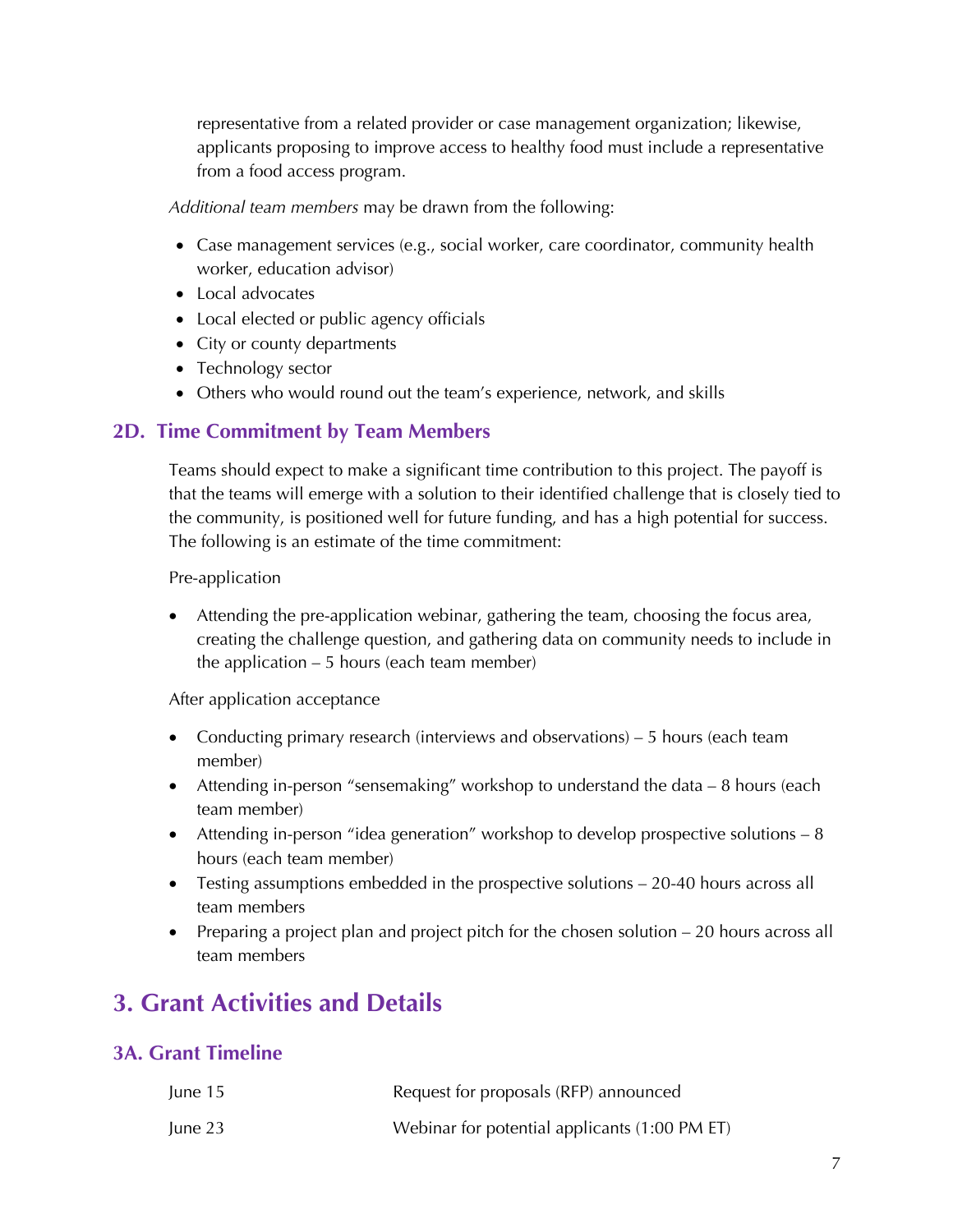representative from a related provider or case management organization; likewise, applicants proposing to improve access to healthy food must include a representative from a food access program.

*Additional team members* may be drawn from the following:

- Case management services (e.g., social worker, care coordinator, community health worker, education advisor)
- Local advocates
- Local elected or public agency officials
- City or county departments
- Technology sector
- Others who would round out the team's experience, network, and skills

#### **2D. Time Commitment by Team Members**

Teams should expect to make a significant time contribution to this project. The payoff is that the teams will emerge with a solution to their identified challenge that is closely tied to the community, is positioned well for future funding, and has a high potential for success. The following is an estimate of the time commitment:

Pre-application

• Attending the pre-application webinar, gathering the team, choosing the focus area, creating the challenge question, and gathering data on community needs to include in the application – 5 hours (each team member)

After application acceptance

- Conducting primary research (interviews and observations) 5 hours (each team member)
- Attending in-person "sensemaking" workshop to understand the data 8 hours (each team member)
- Attending in-person "idea generation" workshop to develop prospective solutions  $-8$ hours (each team member)
- Testing assumptions embedded in the prospective solutions 20-40 hours across all team members
- Preparing a project plan and project pitch for the chosen solution 20 hours across all team members

# **3. Grant Activities and Details**

# **3A. Grant Timeline**

| June 15 | Request for proposals (RFP) announced         |
|---------|-----------------------------------------------|
| June 23 | Webinar for potential applicants (1:00 PM ET) |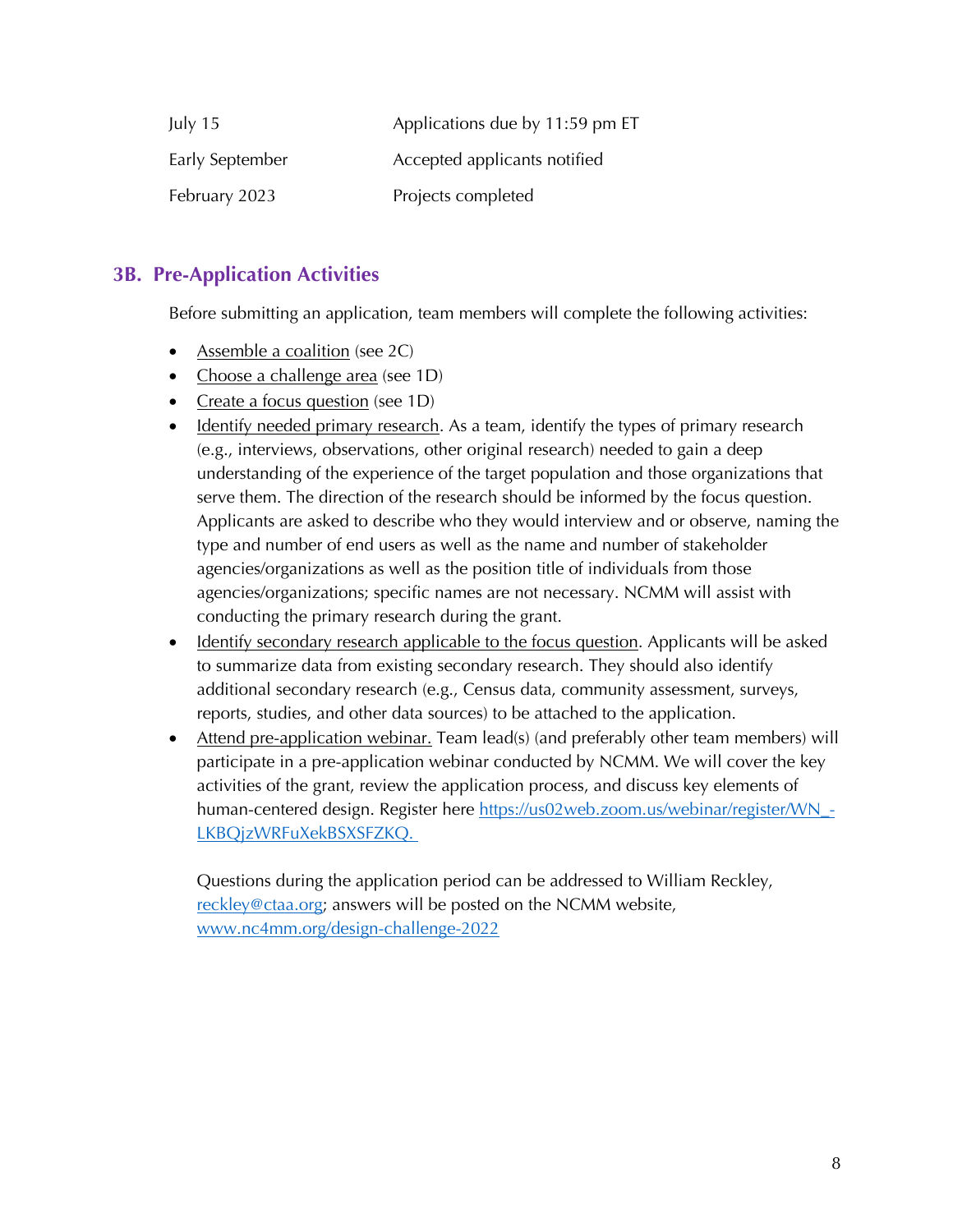| July $15$       | Applications due by 11:59 pm ET |  |
|-----------------|---------------------------------|--|
| Early September | Accepted applicants notified    |  |
| February 2023   | Projects completed              |  |

# **3B. Pre-Application Activities**

Before submitting an application, team members will complete the following activities:

- Assemble a coalition (see 2C)
- Choose a challenge area (see 1D)
- Create a focus question (see 1D)
- Identify needed primary research. As a team, identify the types of primary research (e.g., interviews, observations, other original research) needed to gain a deep understanding of the experience of the target population and those organizations that serve them. The direction of the research should be informed by the focus question. Applicants are asked to describe who they would interview and or observe, naming the type and number of end users as well as the name and number of stakeholder agencies/organizations as well as the position title of individuals from those agencies/organizations; specific names are not necessary. NCMM will assist with conducting the primary research during the grant.
- Identify secondary research applicable to the focus question. Applicants will be asked to summarize data from existing secondary research. They should also identify additional secondary research (e.g., Census data, community assessment, surveys, reports, studies, and other data sources) to be attached to the application.
- Attend pre-application webinar. Team lead(s) (and preferably other team members) will participate in a pre-application webinar conducted by NCMM. We will cover the key activities of the grant, review the application process, and discuss key elements of human-centered design. Register here https://us02web.zoom.us/webinar/register/WN\_-LKBQjzWRFuXekBSXSFZKQ.

Questions during the application period can be addressed to William Reckley, reckley@ctaa.org; answers will be posted on the NCMM website, www.nc4mm.org/design-challenge-2022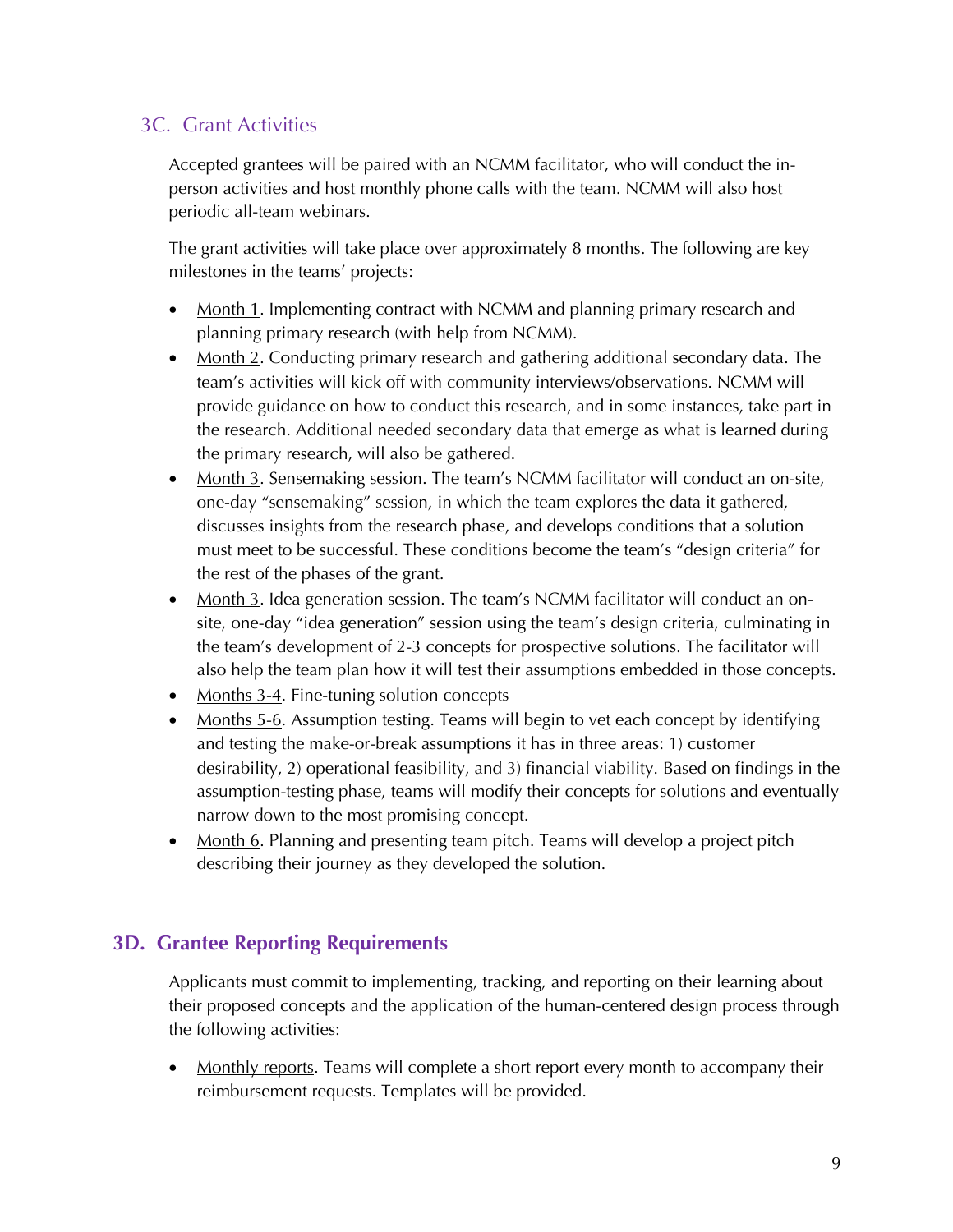# 3C. Grant Activities

Accepted grantees will be paired with an NCMM facilitator, who will conduct the inperson activities and host monthly phone calls with the team. NCMM will also host periodic all-team webinars.

The grant activities will take place over approximately 8 months. The following are key milestones in the teams' projects:

- Month 1. Implementing contract with NCMM and planning primary research and planning primary research (with help from NCMM).
- Month 2. Conducting primary research and gathering additional secondary data. The team's activities will kick off with community interviews/observations. NCMM will provide guidance on how to conduct this research, and in some instances, take part in the research. Additional needed secondary data that emerge as what is learned during the primary research, will also be gathered.
- Month 3. Sensemaking session. The team's NCMM facilitator will conduct an on-site, one-day "sensemaking" session, in which the team explores the data it gathered, discusses insights from the research phase, and develops conditions that a solution must meet to be successful. These conditions become the team's "design criteria" for the rest of the phases of the grant.
- Month 3. Idea generation session. The team's NCMM facilitator will conduct an onsite, one-day "idea generation" session using the team's design criteria, culminating in the team's development of 2-3 concepts for prospective solutions. The facilitator will also help the team plan how it will test their assumptions embedded in those concepts.
- Months 3-4. Fine-tuning solution concepts
- Months 5-6. Assumption testing. Teams will begin to vet each concept by identifying and testing the make-or-break assumptions it has in three areas: 1) customer desirability, 2) operational feasibility, and 3) financial viability. Based on findings in the assumption-testing phase, teams will modify their concepts for solutions and eventually narrow down to the most promising concept.
- Month 6. Planning and presenting team pitch. Teams will develop a project pitch describing their journey as they developed the solution.

# **3D. Grantee Reporting Requirements**

Applicants must commit to implementing, tracking, and reporting on their learning about their proposed concepts and the application of the human-centered design process through the following activities:

• Monthly reports. Teams will complete a short report every month to accompany their reimbursement requests. Templates will be provided.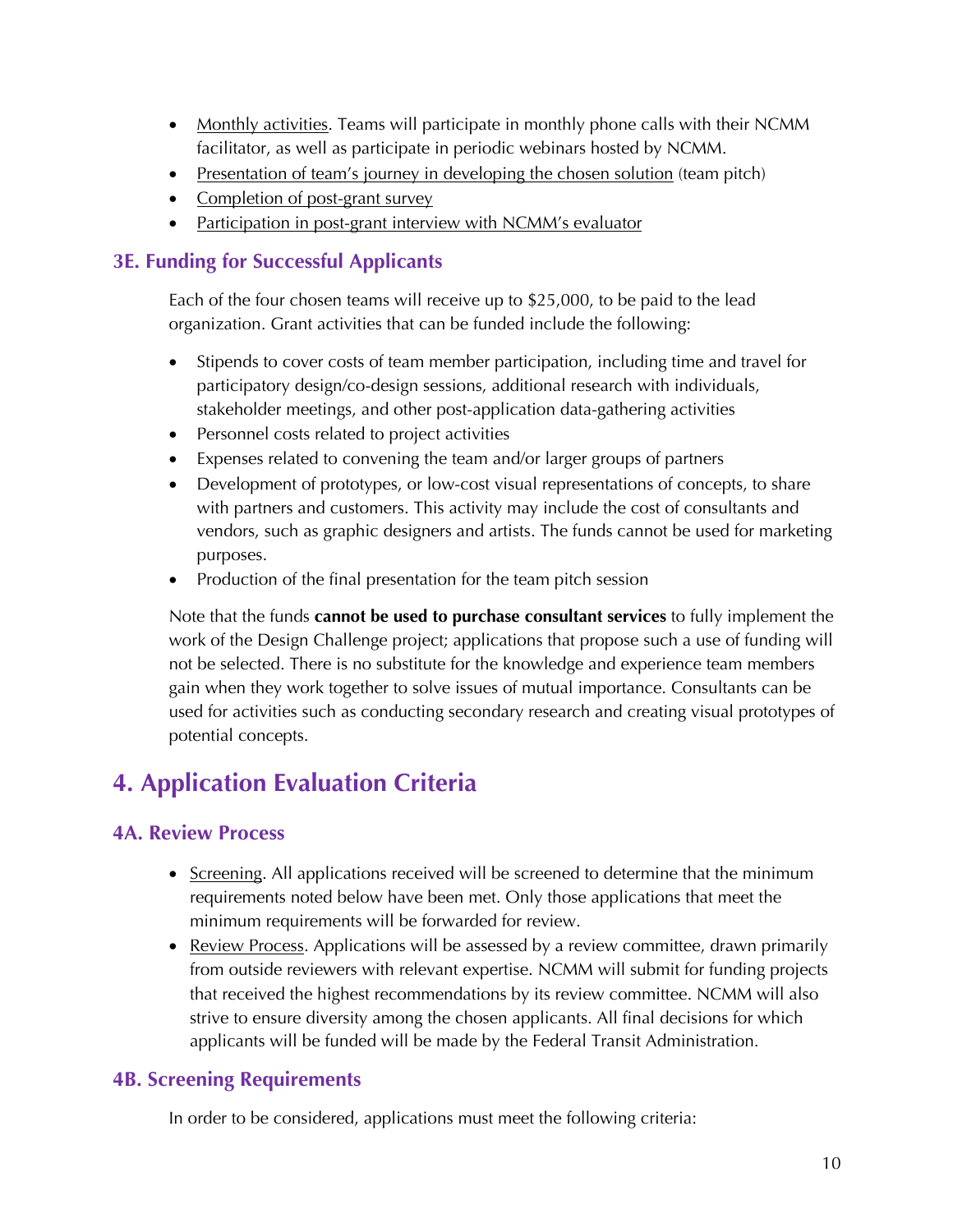- Monthly activities. Teams will participate in monthly phone calls with their NCMM facilitator, as well as participate in periodic webinars hosted by NCMM.
- Presentation of team's journey in developing the chosen solution (team pitch)
- Completion of post-grant survey
- Participation in post-grant interview with NCMM's evaluator

# **3E. Funding for Successful Applicants**

Each of the four chosen teams will receive up to \$25,000, to be paid to the lead organization. Grant activities that can be funded include the following:

- Stipends to cover costs of team member participation, including time and travel for participatory design/co-design sessions, additional research with individuals, stakeholder meetings, and other post-application data-gathering activities
- Personnel costs related to project activities
- Expenses related to convening the team and/or larger groups of partners
- Development of prototypes, or low-cost visual representations of concepts, to share with partners and customers. This activity may include the cost of consultants and vendors, such as graphic designers and artists. The funds cannot be used for marketing purposes.
- Production of the final presentation for the team pitch session

Note that the funds **cannot be used to purchase consultant services** to fully implement the work of the Design Challenge project; applications that propose such a use of funding will not be selected. There is no substitute for the knowledge and experience team members gain when they work together to solve issues of mutual importance. Consultants can be used for activities such as conducting secondary research and creating visual prototypes of potential concepts.

# **4. Application Evaluation Criteria**

# **4A. Review Process**

- Screening. All applications received will be screened to determine that the minimum requirements noted below have been met. Only those applications that meet the minimum requirements will be forwarded for review.
- Review Process. Applications will be assessed by a review committee, drawn primarily from outside reviewers with relevant expertise. NCMM will submit for funding projects that received the highest recommendations by its review committee. NCMM will also strive to ensure diversity among the chosen applicants. All final decisions for which applicants will be funded will be made by the Federal Transit Administration.

# **4B. Screening Requirements**

In order to be considered, applications must meet the following criteria: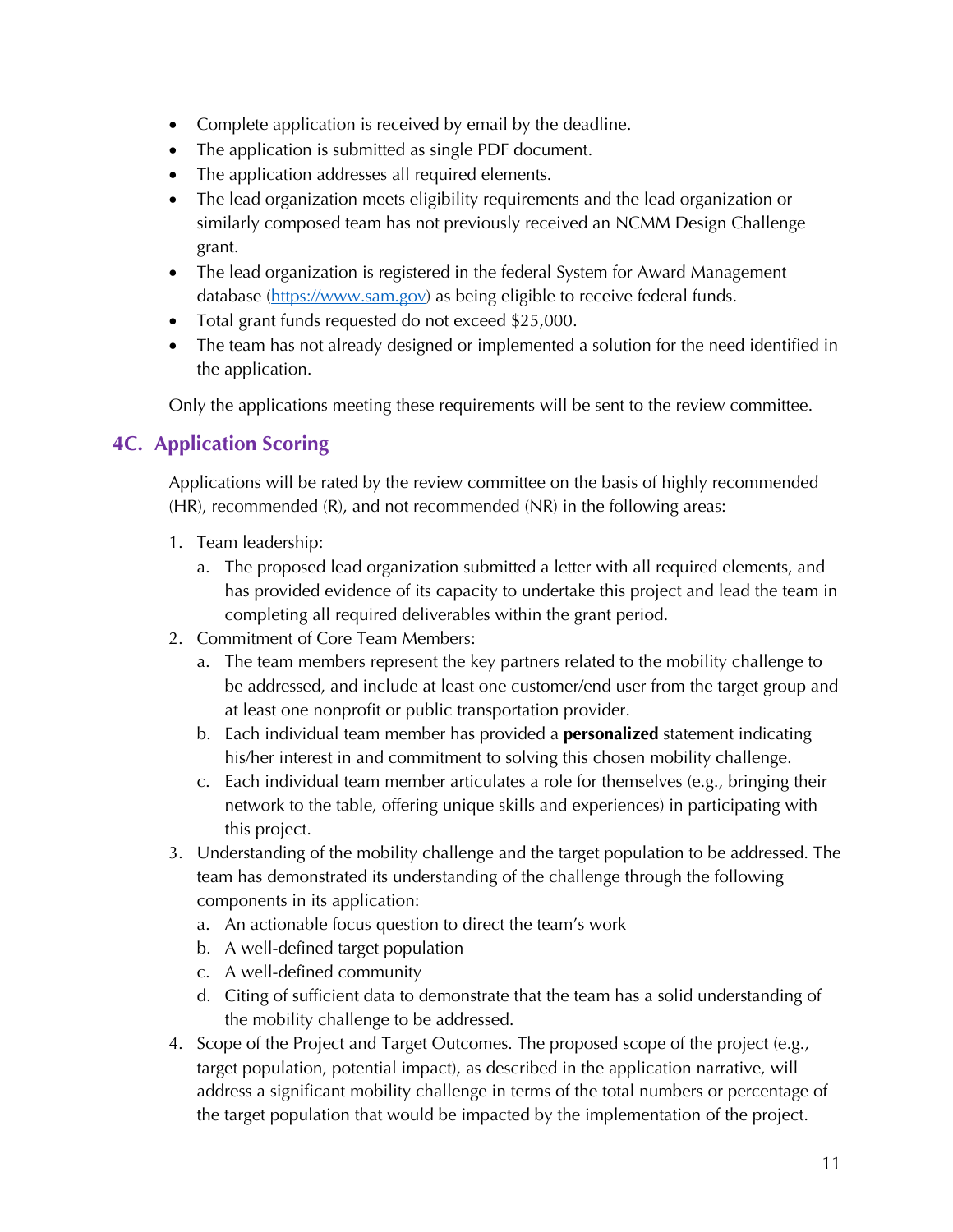- Complete application is received by email by the deadline.
- The application is submitted as single PDF document.
- The application addresses all required elements.
- The lead organization meets eligibility requirements and the lead organization or similarly composed team has not previously received an NCMM Design Challenge grant.
- The lead organization is registered in the federal System for Award Management database (https://www.sam.gov) as being eligible to receive federal funds.
- Total grant funds requested do not exceed \$25,000.
- The team has not already designed or implemented a solution for the need identified in the application.

Only the applications meeting these requirements will be sent to the review committee.

# **4C. Application Scoring**

Applications will be rated by the review committee on the basis of highly recommended (HR), recommended (R), and not recommended (NR) in the following areas:

- 1. Team leadership:
	- a. The proposed lead organization submitted a letter with all required elements, and has provided evidence of its capacity to undertake this project and lead the team in completing all required deliverables within the grant period.
- 2. Commitment of Core Team Members:
	- a. The team members represent the key partners related to the mobility challenge to be addressed, and include at least one customer/end user from the target group and at least one nonprofit or public transportation provider.
	- b. Each individual team member has provided a **personalized** statement indicating his/her interest in and commitment to solving this chosen mobility challenge.
	- c. Each individual team member articulates a role for themselves (e.g., bringing their network to the table, offering unique skills and experiences) in participating with this project.
- 3. Understanding of the mobility challenge and the target population to be addressed. The team has demonstrated its understanding of the challenge through the following components in its application:
	- a. An actionable focus question to direct the team's work
	- b. A well-defined target population
	- c. A well-defined community
	- d. Citing of sufficient data to demonstrate that the team has a solid understanding of the mobility challenge to be addressed.
- 4. Scope of the Project and Target Outcomes. The proposed scope of the project (e.g., target population, potential impact), as described in the application narrative, will address a significant mobility challenge in terms of the total numbers or percentage of the target population that would be impacted by the implementation of the project.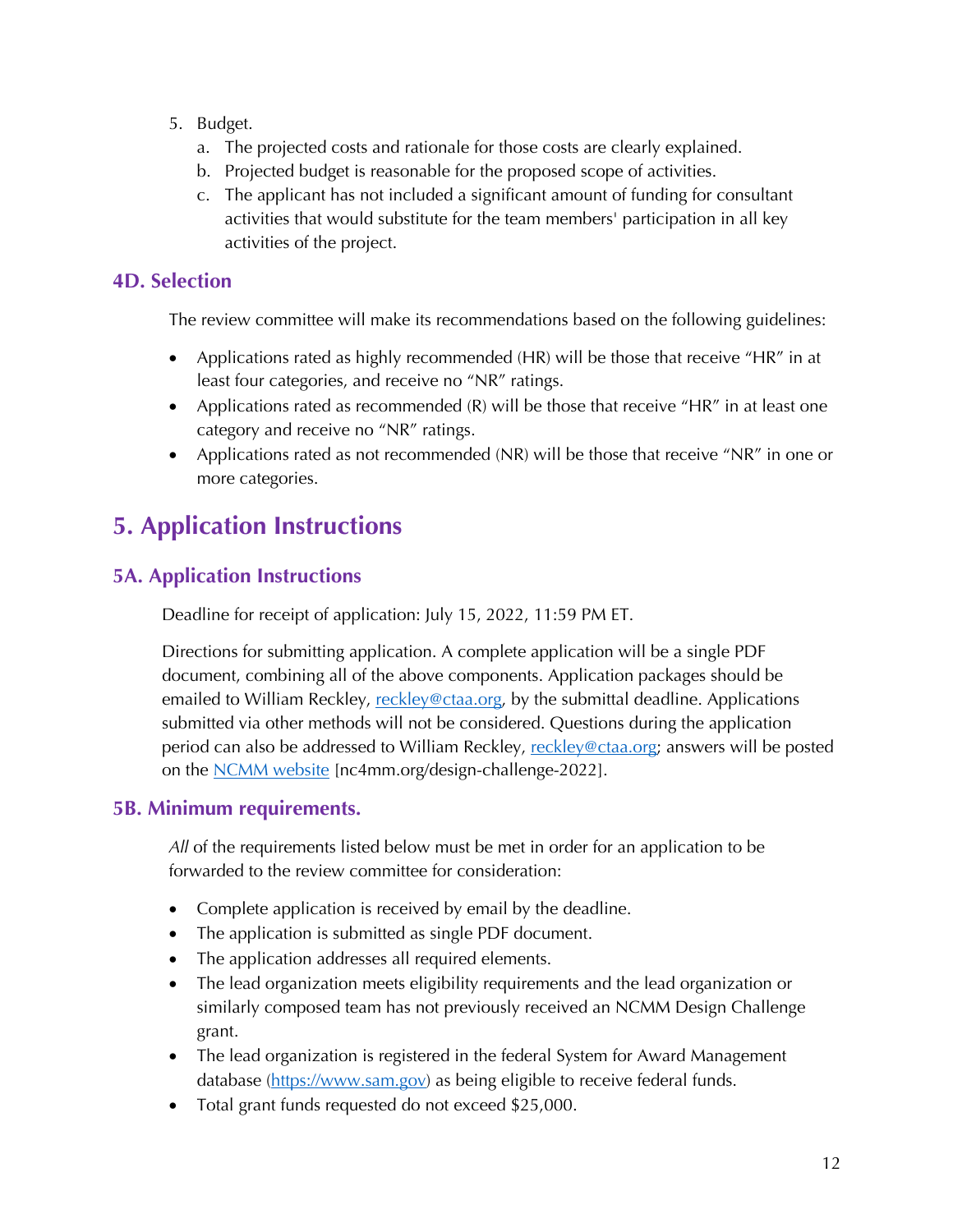- 5. Budget.
	- a. The projected costs and rationale for those costs are clearly explained.
	- b. Projected budget is reasonable for the proposed scope of activities.
	- c. The applicant has not included a significant amount of funding for consultant activities that would substitute for the team members' participation in all key activities of the project.

# **4D. Selection**

The review committee will make its recommendations based on the following guidelines:

- Applications rated as highly recommended (HR) will be those that receive "HR" in at least four categories, and receive no "NR" ratings.
- Applications rated as recommended  $(R)$  will be those that receive "HR" in at least one category and receive no "NR" ratings.
- Applications rated as not recommended (NR) will be those that receive "NR" in one or more categories.

# **5. Application Instructions**

# **5A. Application Instructions**

Deadline for receipt of application: July 15, 2022, 11:59 PM ET.

Directions for submitting application. A complete application will be a single PDF document, combining all of the above components. Application packages should be emailed to William Reckley, reckley@ctaa.org, by the submittal deadline. Applications submitted via other methods will not be considered. Questions during the application period can also be addressed to William Reckley, reckley@ctaa.org; answers will be posted on the NCMM website [nc4mm.org/design-challenge-2022].

# **5B. Minimum requirements.**

*All* of the requirements listed below must be met in order for an application to be forwarded to the review committee for consideration:

- Complete application is received by email by the deadline.
- The application is submitted as single PDF document.
- The application addresses all required elements.
- The lead organization meets eligibility requirements and the lead organization or similarly composed team has not previously received an NCMM Design Challenge grant.
- The lead organization is registered in the federal System for Award Management database (https://www.sam.gov) as being eligible to receive federal funds.
- Total grant funds requested do not exceed \$25,000.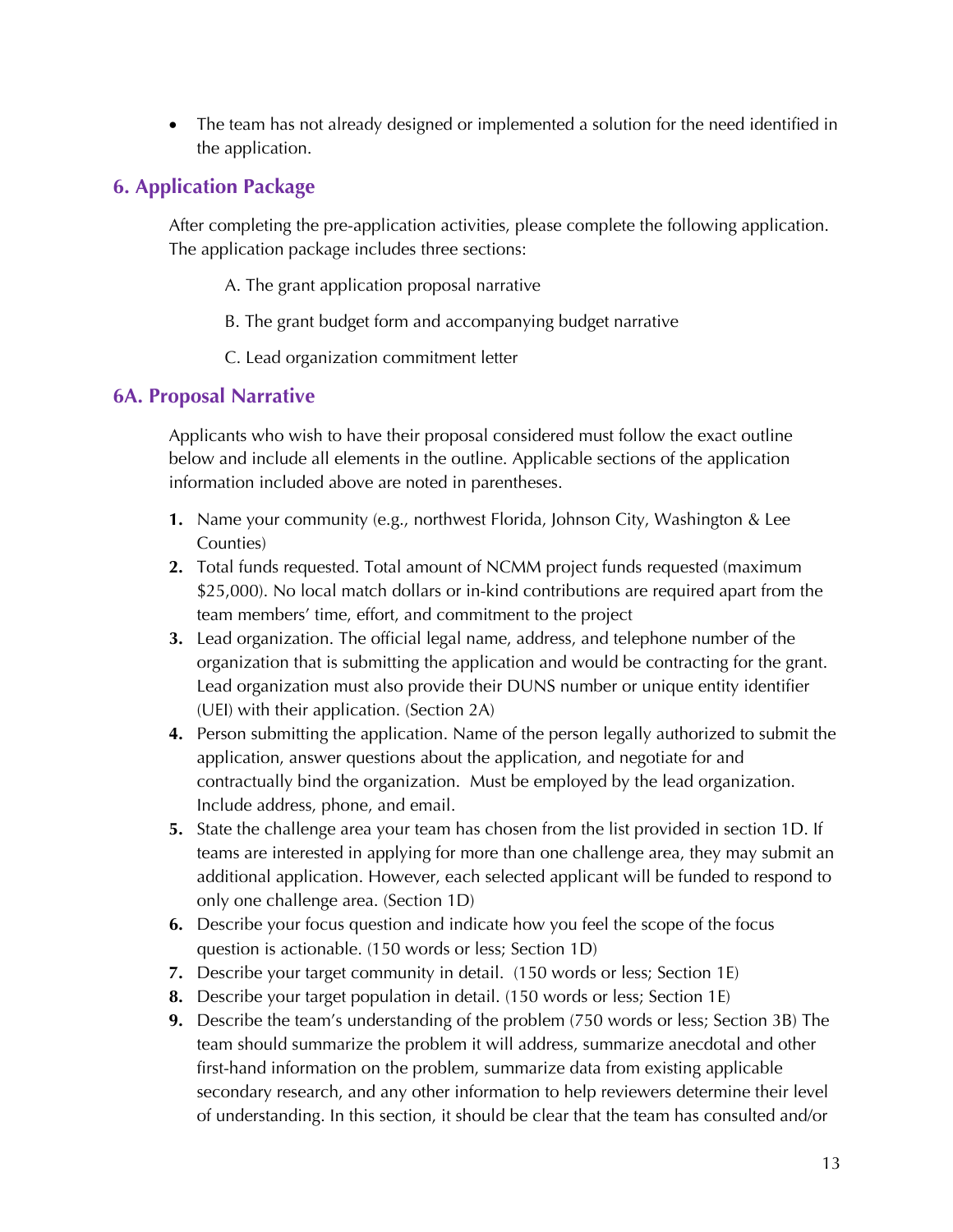• The team has not already designed or implemented a solution for the need identified in the application.

# **6. Application Package**

After completing the pre-application activities, please complete the following application. The application package includes three sections:

- A. The grant application proposal narrative
- B. The grant budget form and accompanying budget narrative
- C. Lead organization commitment letter

#### **6A. Proposal Narrative**

Applicants who wish to have their proposal considered must follow the exact outline below and include all elements in the outline. Applicable sections of the application information included above are noted in parentheses.

- **1.** Name your community (e.g., northwest Florida, Johnson City, Washington & Lee Counties)
- **2.** Total funds requested. Total amount of NCMM project funds requested (maximum \$25,000). No local match dollars or in-kind contributions are required apart from the team members' time, effort, and commitment to the project
- **3.** Lead organization. The official legal name, address, and telephone number of the organization that is submitting the application and would be contracting for the grant. Lead organization must also provide their DUNS number or unique entity identifier (UEI) with their application. (Section 2A)
- **4.** Person submitting the application. Name of the person legally authorized to submit the application, answer questions about the application, and negotiate for and contractually bind the organization. Must be employed by the lead organization. Include address, phone, and email.
- **5.** State the challenge area your team has chosen from the list provided in section 1D. If teams are interested in applying for more than one challenge area, they may submit an additional application. However, each selected applicant will be funded to respond to only one challenge area. (Section 1D)
- **6.** Describe your focus question and indicate how you feel the scope of the focus question is actionable. (150 words or less; Section 1D)
- **7.** Describe your target community in detail. (150 words or less; Section 1E)
- **8.** Describe your target population in detail. (150 words or less; Section 1E)
- **9.** Describe the team's understanding of the problem (750 words or less; Section 3B) The team should summarize the problem it will address, summarize anecdotal and other first-hand information on the problem, summarize data from existing applicable secondary research, and any other information to help reviewers determine their level of understanding. In this section, it should be clear that the team has consulted and/or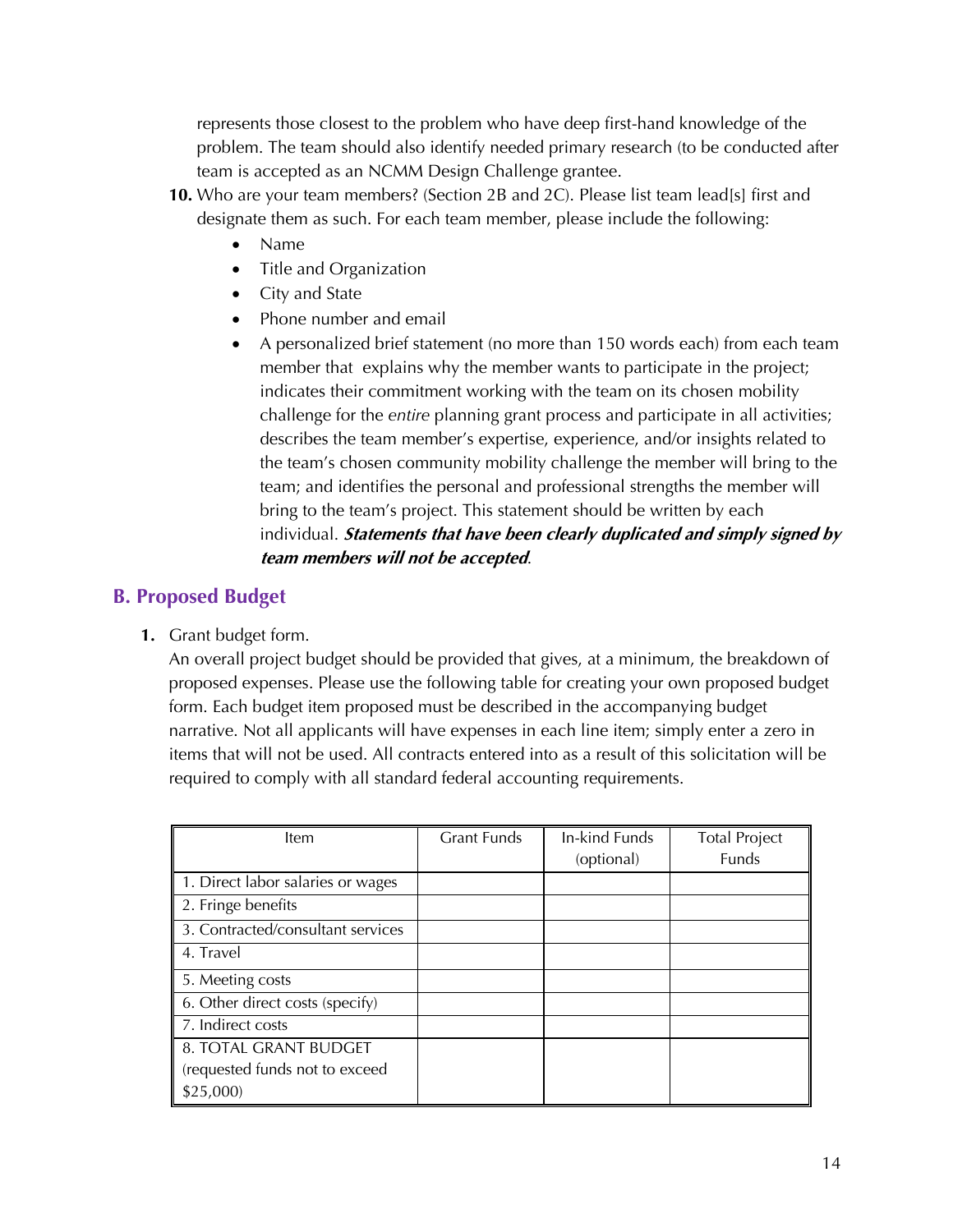represents those closest to the problem who have deep first-hand knowledge of the problem. The team should also identify needed primary research (to be conducted after team is accepted as an NCMM Design Challenge grantee.

- **10.** Who are your team members? (Section 2B and 2C). Please list team lead[s] first and designate them as such. For each team member, please include the following:
	- Name
	- Title and Organization
	- City and State
	- Phone number and email
	- A personalized brief statement (no more than 150 words each) from each team member that explains why the member wants to participate in the project; indicates their commitment working with the team on its chosen mobility challenge for the *entire* planning grant process and participate in all activities; describes the team member's expertise, experience, and/or insights related to the team's chosen community mobility challenge the member will bring to the team; and identifies the personal and professional strengths the member will bring to the team's project. This statement should be written by each individual. **Statements that have been clearly duplicated and simply signed by team members will not be accepted**.

# **B. Proposed Budget**

**1.** Grant budget form.

An overall project budget should be provided that gives, at a minimum, the breakdown of proposed expenses. Please use the following table for creating your own proposed budget form. Each budget item proposed must be described in the accompanying budget narrative. Not all applicants will have expenses in each line item; simply enter a zero in items that will not be used. All contracts entered into as a result of this solicitation will be required to comply with all standard federal accounting requirements.

| Item                              | <b>Grant Funds</b> | In-kind Funds | <b>Total Project</b> |
|-----------------------------------|--------------------|---------------|----------------------|
|                                   |                    | (optional)    | Funds                |
| 1. Direct labor salaries or wages |                    |               |                      |
| 2. Fringe benefits                |                    |               |                      |
| 3. Contracted/consultant services |                    |               |                      |
| 4. Travel                         |                    |               |                      |
| 5. Meeting costs                  |                    |               |                      |
| 6. Other direct costs (specify)   |                    |               |                      |
| 7. Indirect costs                 |                    |               |                      |
| 8. TOTAL GRANT BUDGET             |                    |               |                      |
| (requested funds not to exceed    |                    |               |                      |
| \$25,000                          |                    |               |                      |